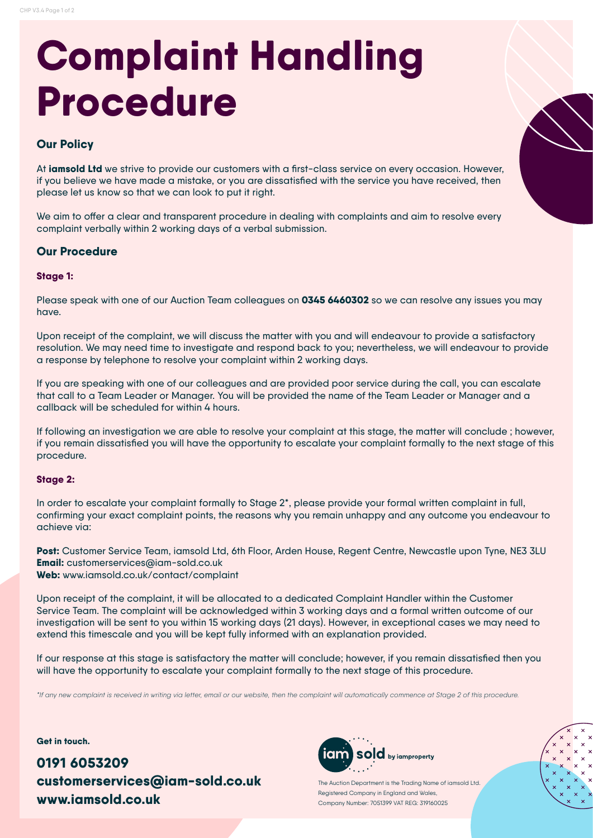# **Complaint Handling Procedure**

## **Our Policy**

At **iamsold Ltd** we strive to provide our customers with a first-class service on every occasion. However, if you believe we have made a mistake, or you are dissatisfied with the service you have received, then please let us know so that we can look to put it right.

We aim to offer a clear and transparent procedure in dealing with complaints and aim to resolve every complaint verbally within 2 working days of a verbal submission.

## **Our Procedure**

#### **Stage 1:**

Please speak with one of our Auction Team colleagues on **0345 6460302** so we can resolve any issues you may have.

Upon receipt of the complaint, we will discuss the matter with you and will endeavour to provide a satisfactory resolution. We may need time to investigate and respond back to you; nevertheless, we will endeavour to provide a response by telephone to resolve your complaint within 2 working days.

If you are speaking with one of our colleagues and are provided poor service during the call, you can escalate that call to a Team Leader or Manager. You will be provided the name of the Team Leader or Manager and a callback will be scheduled for within 4 hours.

If following an investigation we are able to resolve your complaint at this stage, the matter will conclude ; however, if you remain dissatisfied you will have the opportunity to escalate your complaint formally to the next stage of this procedure.

### **Stage 2:**

In order to escalate your complaint formally to Stage 2\*, please provide your formal written complaint in full, confirming your exact complaint points, the reasons why you remain unhappy and any outcome you endeavour to achieve via:

**Post:** Customer Service Team, iamsold Ltd, 6th Floor, Arden House, Regent Centre, Newcastle upon Tyne, NE3 3LU **Email:** customerservices@iam-sold.co.uk **Web:** www.iamsold.co.uk/contact/complaint

Upon receipt of the complaint, it will be allocated to a dedicated Complaint Handler within the Customer Service Team. The complaint will be acknowledged within 3 working days and a formal written outcome of our investigation will be sent to you within 15 working days (21 days). However, in exceptional cases we may need to extend this timescale and you will be kept fully informed with an explanation provided.

If our response at this stage is satisfactory the matter will conclude; however, if you remain dissatisfied then you will have the opportunity to escalate your complaint formally to the next stage of this procedure.

*\*If any new complaint is received in writing via letter, email or our website, then the complaint will automatically commence at Stage 2 of this procedure.*

**Get in touch.**

**0191 6053209 customerservices@iam-sold.co.uk www.iamsold.co.uk**



The Auction Department is the Trading Name of iamsold Ltd. Registered Company in England and Wales, Company Number: 7051399 VAT REG: 319160025